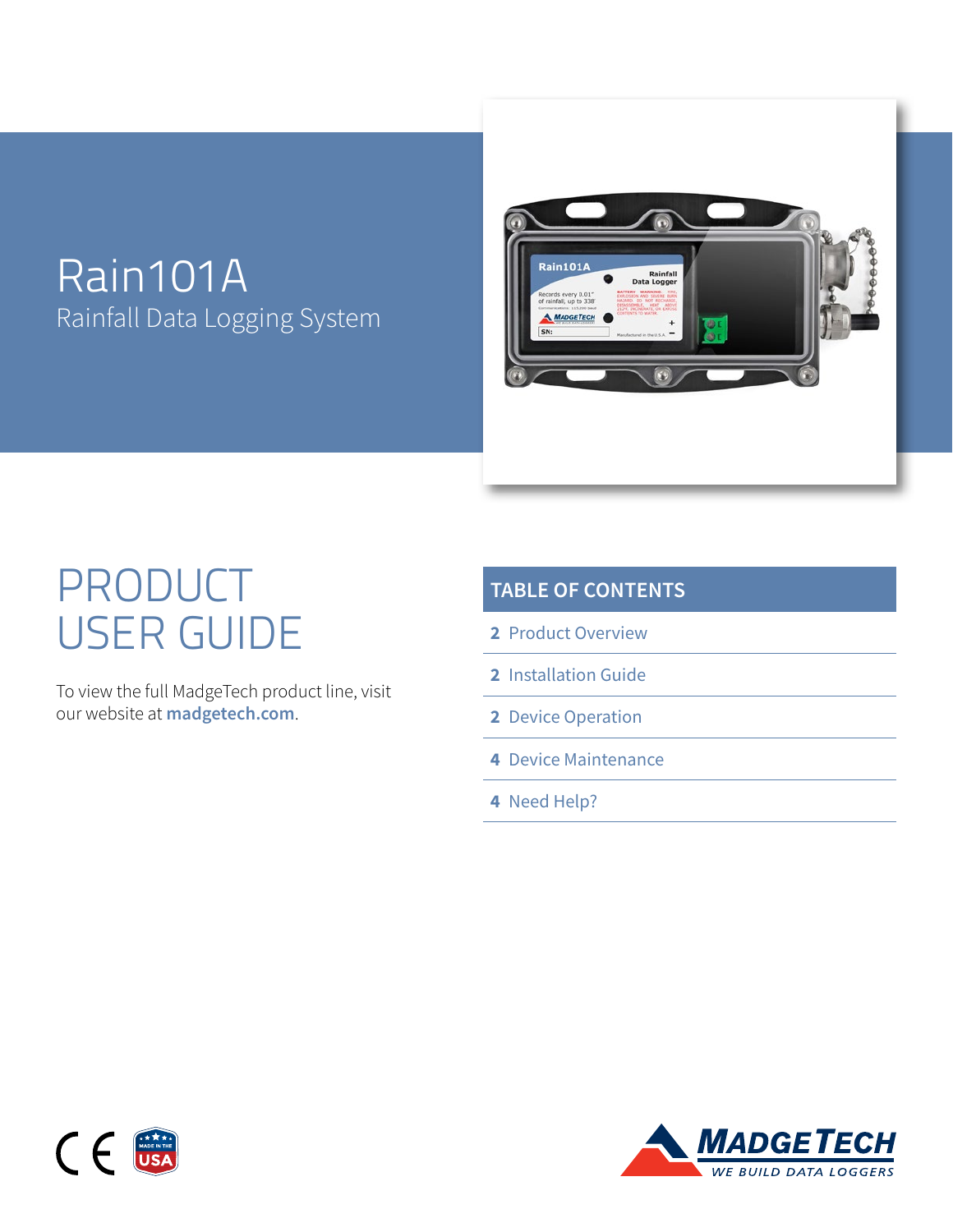# Rain101A Rainfall Data Logging System



# PRODUCT USER GUIDE

To view the full MadgeTech product line, visit our website at **[madgetech.com](https://www.madgetech.com)**.

| <b>TABLE OF CONTENTS</b> |  |  |  |
|--------------------------|--|--|--|
|                          |  |  |  |

- **2** [Product](#page-1-0) Overview
- **2** [Installation Guide](#page-1-0)
- **2** [Device](#page-1-0) Operation
- **4** [Device Maintenance](#page-3-0)
- **4** [Need Help?](#page-3-0)



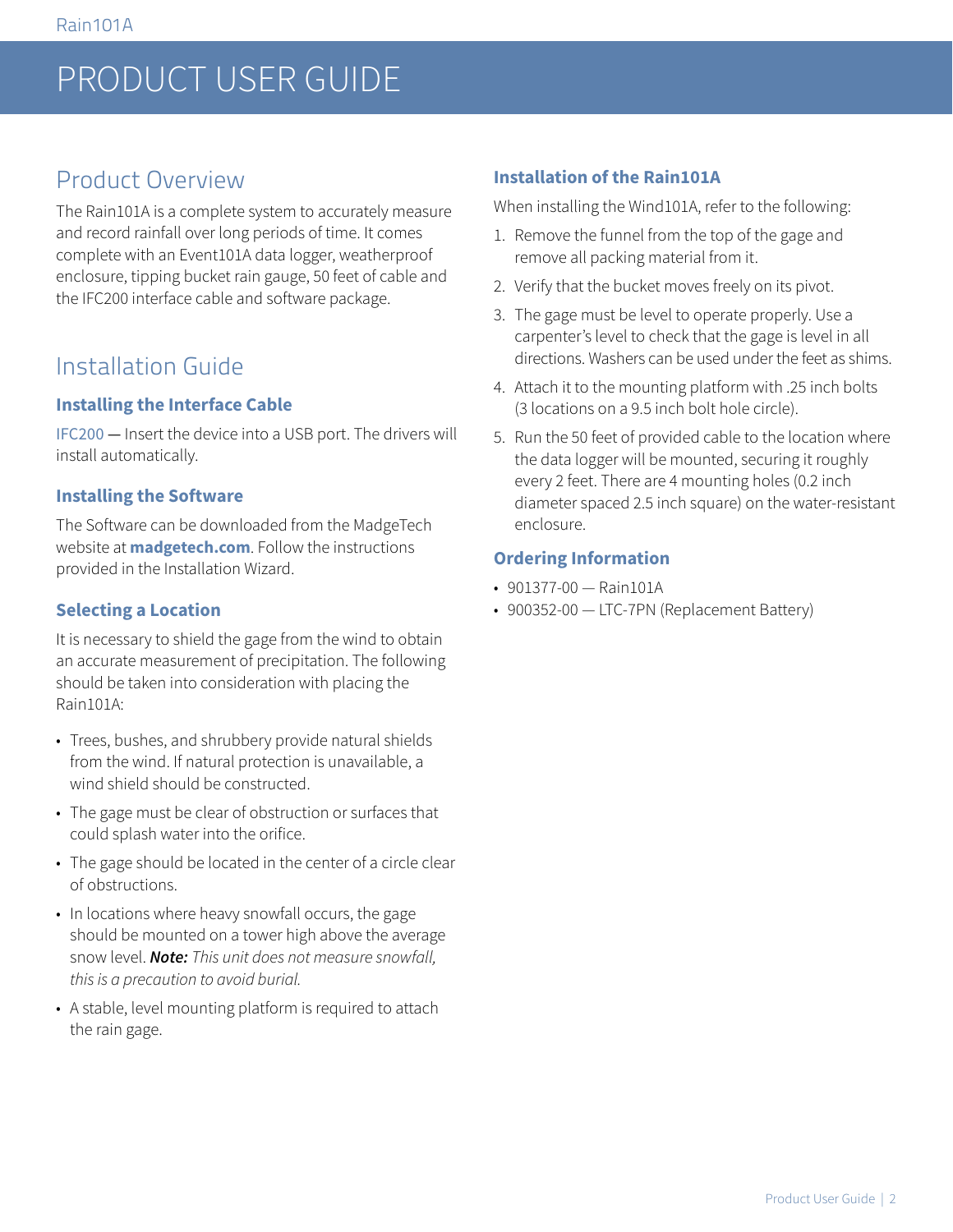# <span id="page-1-0"></span>PRODUCT USER GUIDE

## Product Overview

The Rain101A is a complete system to accurately measure and record rainfall over long periods of time. It comes complete with an Event101A data logger, weatherproof enclosure, tipping bucket rain gauge, 50 feet of cable and the IFC200 interface cable and software package.

### Installation Guide

#### **Installing the Interface Cable**

IFC200 — Insert the device into a USB port. The drivers will install automatically.

#### **Installing the Software**

The Software can be downloaded from the MadgeTech website at **[madgetech.com](https://www.madgetech.com)**. Follow the instructions provided in the Installation Wizard.

#### **Selecting a Location**

It is necessary to shield the gage from the wind to obtain an accurate measurement of precipitation. The following should be taken into consideration with placing the Rain101A:

- Trees, bushes, and shrubbery provide natural shields from the wind. If natural protection is unavailable, a wind shield should be constructed.
- The gage must be clear of obstruction or surfaces that could splash water into the orifice.
- The gage should be located in the center of a circle clear of obstructions.
- In locations where heavy snowfall occurs, the gage should be mounted on a tower high above the average snow level. *Note: This unit does not measure snowfall, this is a precaution to avoid burial.*
- A stable, level mounting platform is required to attach the rain gage.

### **Installation of the Rain101A**

When installing the Wind101A, refer to the following:

- 1. Remove the funnel from the top of the gage and remove all packing material from it.
- 2. Verify that the bucket moves freely on its pivot.
- 3. The gage must be level to operate properly. Use a carpenter's level to check that the gage is level in all directions. Washers can be used under the feet as shims.
- 4. Attach it to the mounting platform with .25 inch bolts (3 locations on a 9.5 inch bolt hole circle).
- 5. Run the 50 feet of provided cable to the location where the data logger will be mounted, securing it roughly every 2 feet. There are 4 mounting holes (0.2 inch diameter spaced 2.5 inch square) on the water-resistant enclosure.

#### **Ordering Information**

- 901377-00 Rain101A
- 900352-00 LTC-7PN (Replacement Battery)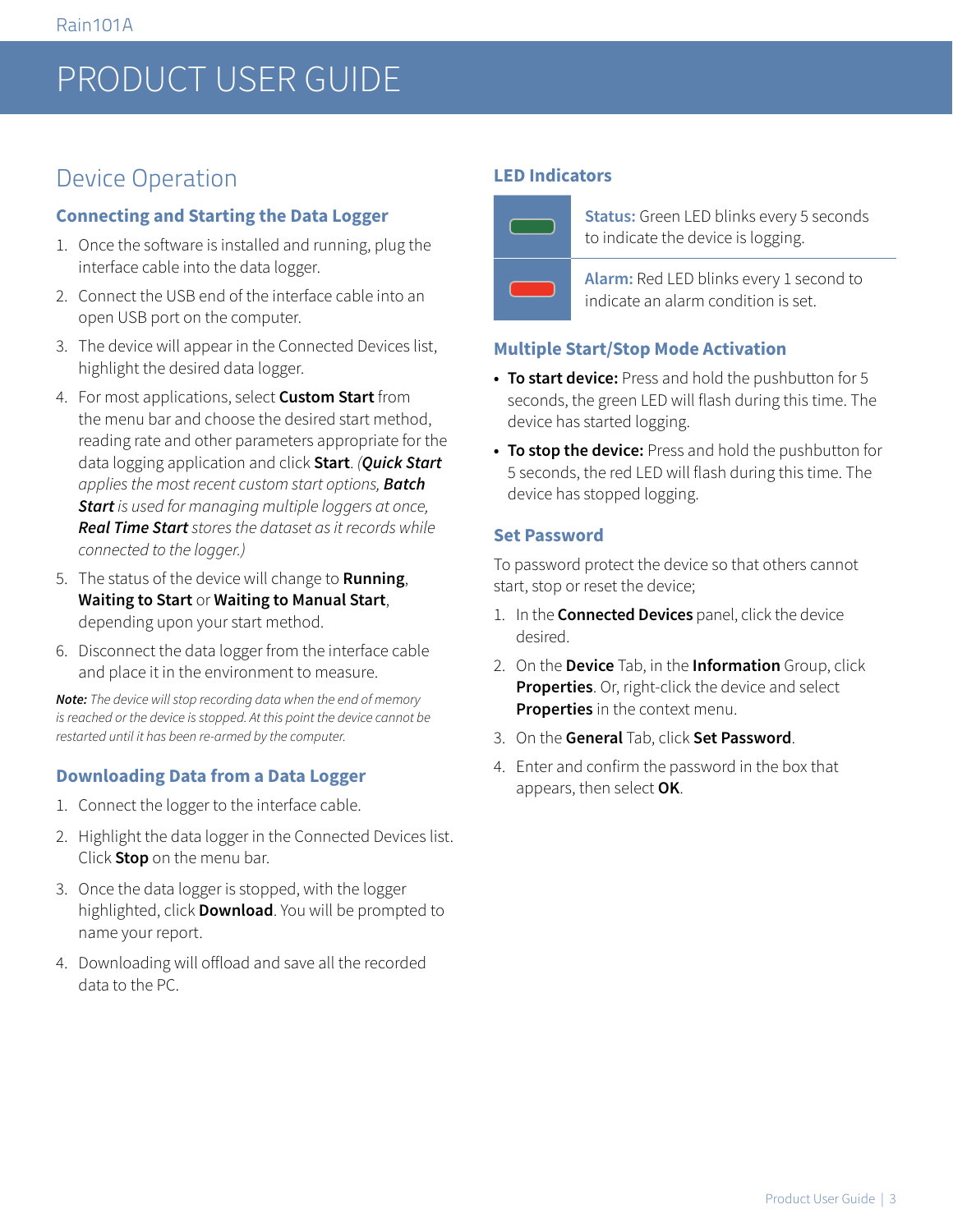# PRODUCT USER GUIDE

# Device Operation

#### **Connecting and Starting the Data Logger**

- 1. Once the software is installed and running, plug the interface cable into the data logger.
- 2. Connect the USB end of the interface cable into an open USB port on the computer.
- 3. The device will appear in the Connected Devices list, highlight the desired data logger.
- 4. For most applications, select **Custom Start** from the menu bar and choose the desired start method, reading rate and other parameters appropriate for the data logging application and click **Start**. *(Quick Start applies the most recent custom start options, Batch Start is used for managing multiple loggers at once, Real Time Start stores the dataset as it records while connected to the logger.)*
- 5. The status of the device will change to **Running**, **Waiting to Start** or **Waiting to Manual Start**, depending upon your start method.
- 6. Disconnect the data logger from the interface cable and place it in the environment to measure.

*Note: The device will stop recording data when the end of memory is reached or the device is stopped. At this point the device cannot be restarted until it has been re-armed by the computer.*

### **Downloading Data from a Data Logger**

- 1. Connect the logger to the interface cable.
- 2. Highlight the data logger in the Connected Devices list. Click **Stop** on the menu bar.
- 3. Once the data logger is stopped, with the logger highlighted, click **Download**. You will be prompted to name your report.
- 4. Downloading will offload and save all the recorded data to the PC.

#### **LED Indicators**



**Status:** Green LED blinks every 5 seconds to indicate the device is logging.

**Alarm:** Red LED blinks every 1 second to indicate an alarm condition is set.

#### **Multiple Start/Stop Mode Activation**

- **• To start device:** Press and hold the pushbutton for 5 seconds, the green LED will flash during this time. The device has started logging.
- **• To stop the device:** Press and hold the pushbutton for 5 seconds, the red LED will flash during this time. The device has stopped logging.

#### **Set Password**

To password protect the device so that others cannot start, stop or reset the device;

- 1. In the **Connected Devices** panel, click the device desired.
- 2. On the **Device** Tab, in the **Information** Group, click **Properties**. Or, right-click the device and select **Properties** in the context menu.
- 3. On the **General** Tab, click **Set Password**.
- 4. Enter and confirm the password in the box that appears, then select **OK**.